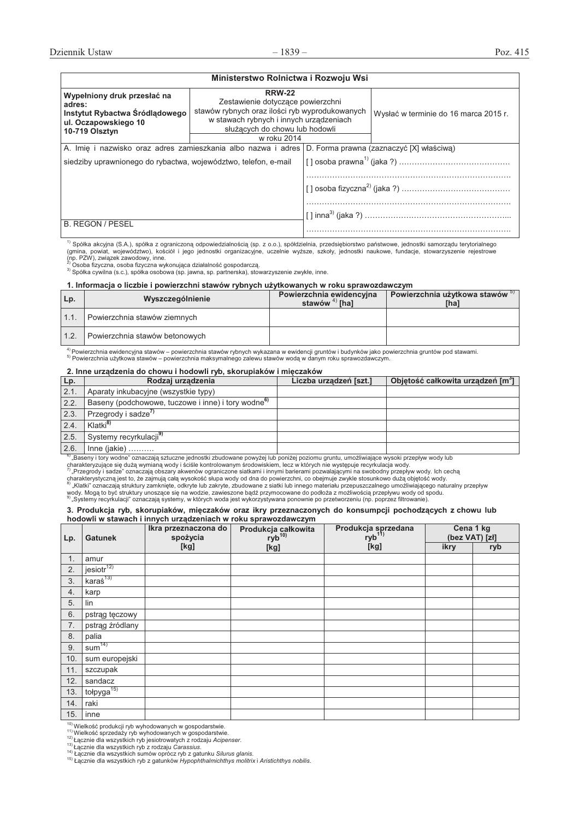| Ministerstwo Rolnictwa i Rozwoju Wsi                                                                              |                                                                                                                                                                                                  |                                                                                                        |                                       |  |  |  |
|-------------------------------------------------------------------------------------------------------------------|--------------------------------------------------------------------------------------------------------------------------------------------------------------------------------------------------|--------------------------------------------------------------------------------------------------------|---------------------------------------|--|--|--|
| Wypełniony druk przesłać na<br>adres:<br>Instytut Rybactwa Śródlądowego<br>ul. Oczapowskiego 10<br>10-719 Olsztyn | <b>RRW-22</b><br>Zestawienie dotyczące powierzchni<br>stawów rybnych oraz ilości ryb wyprodukowanych<br>w stawach rybnych i innych urządzeniach<br>służących do chowu lub hodowli<br>w roku 2014 |                                                                                                        | Wysłać w terminie do 16 marca 2015 r. |  |  |  |
|                                                                                                                   |                                                                                                                                                                                                  | A. Imie i nazwisko oraz adres zamieszkania albo nazwa i adres D. Forma prawna (zaznaczyć [X] właściwa) |                                       |  |  |  |
| siedziby uprawnionego do rybactwa, województwo, telefon, e-mail                                                   |                                                                                                                                                                                                  |                                                                                                        |                                       |  |  |  |
|                                                                                                                   |                                                                                                                                                                                                  |                                                                                                        |                                       |  |  |  |
| <b>B. REGON / PESEL</b>                                                                                           |                                                                                                                                                                                                  |                                                                                                        |                                       |  |  |  |

<sup>1)</sup> Spółka akcyjna (S.A.), spółka z ograniczoną odpowiedzialnością (sp. z o.o.), spółdzielnia, przedsiębiorstwo państwowe, jednostki samorządu terytorialnego<br>(gmina, powiat, województwo), kościół i jego jednostki organiza

(np. PZW), związek zawodowy, inne.<br><sup>2)</sup> Osoba fizyczna, osoba fizyczna wykonująca działalność gospodarczą.

PROSUG TELYCZNA, USODA TELYCZNA TELYCHI (UNICHOLOGIC SECH FRANCH FRANCH FRANCH FRANCH SOLOGIC) SOLOGICZY SOLOG<br><sup>3)</sup> Spółka cywilna (s.c.), spółka osobowa (sp. jawna, sp. partnerska), stowarzyszenie zwykłe, inne.

#### 1. Informacja o liczbie i powierzchni stawów rybnych użytkowanych w roku sprawozdawczym

| Lp.  | Wyszczególnienie               | Powierzchnia ewidencyjna<br>stawów $4)$ [ha] | Powierzchnia użytkowa stawów <sup>5)</sup><br>[ha] |
|------|--------------------------------|----------------------------------------------|----------------------------------------------------|
| 1.1. | Powierzchnia stawów ziemnych   |                                              |                                                    |
| 1.2. | Powierzchnia stawów betonowych |                                              |                                                    |

\frowierzchnia ewidencyjna stawów – powierzchnia stawów rybnych wykazana w ewidencji gruntów i budynków jako powierzchnia gruntów pod stawami.  $\frac{1}{100}$  Fowbizonina uzytkowa stawów – powierzchnia maksymalnego zalewu stawów wodą w danym roku sprawozdawczym.

### 2. Inne urzadzenia do chowu i hodowli rvb. skorupiaków i mieczaków

| Lp.  | Rodzaj urządzenia                                              | Liczba urządzeń [szt.] | Objetość całkowita urządzeń [m <sup>3</sup> ] |
|------|----------------------------------------------------------------|------------------------|-----------------------------------------------|
| 2.1. | Aparaty inkubacyjne (wszystkie typy)                           |                        |                                               |
| 2.2. | Baseny (podchowowe, tuczowe i inne) i tory wodne <sup>6)</sup> |                        |                                               |
| 2.3. | Przegrody i sadze <sup>7)</sup>                                |                        |                                               |
| 2.4. | Klatki <sup>8)</sup>                                           |                        |                                               |
| 2.5. | Systemy recyrkulacji <sup>9)</sup>                             |                        |                                               |
| 2.6. | $Inne (iakie)$                                                 |                        |                                               |

<sup>6)</sup> "Baseny i tory wodne" oznaczają sztuczne jednostki zbudowane powyżej lub poniżej poziomu gruntu, umożliwiające wysoki przepływ wody lub<br>charakteryzujące się dużą wymianą wody i ściśle kontrolowanym środowiskiem, lecz

<sup>7)</sup> "Przegrody i sadze" oznaczają obszary akwenów ograniczone siatkami i innymi barierami pozwalającymi na swobodny przepływ wody. Ich cechą<br>charakterystyczną jest to, że zajmują całą wysokość słupa wody od dna do powierz wody. Mogą to być struktury unoszące się na wodzie, zawieszone bądź przymocowane do podłoża z możliwością przepływu wody od spodu.<br><sup>9)</sup> "Systemy recyrkulacji" oznaczają systemy, w których woda jest wykorzystywana ponownie

#### 3. Produkcja ryb, skorupiaków, mięczaków oraz ikry przeznaczonych do konsumpcji pochodzących z chowu lub **hodowli w stawach i innych urzadzeniach w roku sprawozdawczym**

| Lp. | <b>Gatunek</b>         | Ikra przeznaczona do<br>spożycia | Produkcja całkowita<br>ryb <sup>10)</sup> | Produkcja sprzedana<br>ryb <sup>11)</sup> | Cena 1 kg<br>(bez VAT) [zł] |     |  |
|-----|------------------------|----------------------------------|-------------------------------------------|-------------------------------------------|-----------------------------|-----|--|
|     |                        | [kg]                             | [kg]                                      | [kg]                                      | ikry                        | ryb |  |
| 1.  | amur                   |                                  |                                           |                                           |                             |     |  |
| 2.  | jesiotr <sup>12</sup>  |                                  |                                           |                                           |                             |     |  |
| 3.  | $kara's^{13}$          |                                  |                                           |                                           |                             |     |  |
| 4.  | karp                   |                                  |                                           |                                           |                             |     |  |
| 5.  | lin                    |                                  |                                           |                                           |                             |     |  |
| 6.  | pstrąg tęczowy         |                                  |                                           |                                           |                             |     |  |
| 7.  | pstrąg źródlany        |                                  |                                           |                                           |                             |     |  |
| 8.  | palia                  |                                  |                                           |                                           |                             |     |  |
| 9.  | sum <sup>14</sup>      |                                  |                                           |                                           |                             |     |  |
| 10. | sum europejski         |                                  |                                           |                                           |                             |     |  |
| 11. | szczupak               |                                  |                                           |                                           |                             |     |  |
| 12. | sandacz                |                                  |                                           |                                           |                             |     |  |
| 13. | tołpyga <sup>15)</sup> |                                  |                                           |                                           |                             |     |  |
| 14. | raki                   |                                  |                                           |                                           |                             |     |  |
| 15. | inne                   |                                  |                                           |                                           |                             |     |  |

10) Wielkość produkcji ryb wyhodowanych w gospodarstwie.

<sup>11)</sup> Wielkość sprzedaży ryb wyhodowanych w gospodarstwie.<br><sup>12)</sup> Łącznie dla wszystkich ryb jesiotrowatych z rodzaju *Acipenser.*<br><sup>13)</sup> Łącznie dla wszystkich ryb z rodzaju C*arassius.*<br><sup>14)</sup> Łącznie dla wszystkich sumów o

L]K h.,-'&!()4\$(%"-+"#7&,1(0+3(-(A\$#6'72%(*Hypophthalmichthys molitrix* i *Aristichthys nobilis*=